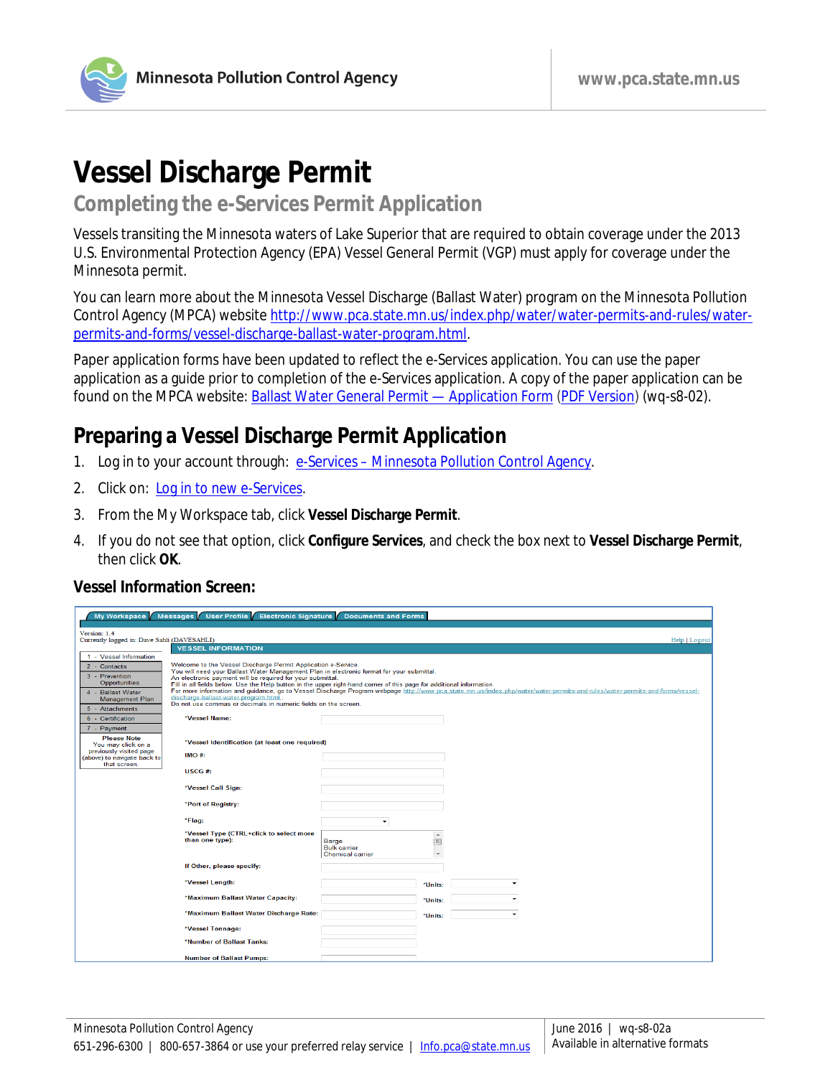

# **Vessel Discharge Permit**

# **Completing the e-Services Permit Application**

Vessels transiting the Minnesota waters of Lake Superior that are required to obtain coverage under the 2013 U.S. Environmental Protection Agency (EPA) Vessel General Permit (VGP) must apply for coverage under the Minnesota permit.

You can learn more about the Minnesota Vessel Discharge (Ballast Water) program on the Minnesota Pollution Control Agency (MPCA) website [http://www.pca.state.mn.us/index.php/water/water-permits-and-rules/water](http://www.pca.state.mn.us/index.php/water/water-permits-and-rules/water-permits-and-forms/vessel-discharge-ballast-water-program.html)[permits-and-forms/vessel-discharge-ballast-water-program.html.](http://www.pca.state.mn.us/index.php/water/water-permits-and-rules/water-permits-and-forms/vessel-discharge-ballast-water-program.html)

Paper application forms have been updated to reflect the e-Services application. You can use the paper application as a guide prior to completion of the e-Services application. A copy of the paper application can be found on the MPCA website: Ballast Water General Permit - Application Form [\(PDF Version\)](http://www.pca.state.mn.us/index.php/view-document.html?gid=5112) (wq-s8-02).

# **Preparing a Vessel Discharge Permit Application**

- 1. Log in to your account through: e-Services [Minnesota Pollution Control Agency.](http://www.pca.state.mn.us/index.php/data/e-services.html)
- 2. Click on: [Log in to new e-Services.](https://rsp.pca.state.mn.us/)
- 3. From the My Workspace tab, click **Vessel Discharge Permit**.
- 4. If you do not see that option, click **Configure Services**, and check the box next to **Vessel Discharge Permit**, then click **OK**.

#### **Vessel Information Screen:**

| My Workspace                                                                                                                         | Messages User Profile Electronic Signature                                                                                                                                                                                                                                                                                                                                                                                                                                                                                                                                                                                                  | <b>Documents and Forms</b>                                   |         |                          |               |
|--------------------------------------------------------------------------------------------------------------------------------------|---------------------------------------------------------------------------------------------------------------------------------------------------------------------------------------------------------------------------------------------------------------------------------------------------------------------------------------------------------------------------------------------------------------------------------------------------------------------------------------------------------------------------------------------------------------------------------------------------------------------------------------------|--------------------------------------------------------------|---------|--------------------------|---------------|
| Version: 1.4<br>Currently logged in: Dave Sahli (DAVESAHLI)                                                                          | <b>VESSEL INFORMATION</b>                                                                                                                                                                                                                                                                                                                                                                                                                                                                                                                                                                                                                   |                                                              |         |                          | Help   Logout |
| 1 - Vessel Information<br>2 - Contacts<br>3 - Prevention<br>Opportunities<br>4 - Ballast Water<br>Management Plan<br>5 - Attachments | Welcome to the Vessel Discharge Permit Application e-Service.<br>You will need your Ballast Water Management Plan in electronic format for your submittal.<br>An electronic payment will be required for your submittal.<br>Fill in all fields below. Use the Help button in the upper right-hand corner of this page for additional information.<br>For more information and guidance, go to Vessel Discharge Program webpage http://www.pca.state.mn.us/index.php/water/water-permits-and-rules/water-permits-and-forms/vessel-<br>discharge-ballast-water-program.html<br>Do not use commas or decimals in numeric fields on the screen. |                                                              |         |                          |               |
| 6 - Certification<br>7 - Payment<br><b>Please Note</b><br>You may click on a                                                         | *Vessel Name:<br>*Vessel Identification (at least one required)                                                                                                                                                                                                                                                                                                                                                                                                                                                                                                                                                                             |                                                              |         |                          |               |
| previously visited page<br>(above) to navigate back to<br>that screen.                                                               | $IMO#$ :<br>USCG#                                                                                                                                                                                                                                                                                                                                                                                                                                                                                                                                                                                                                           |                                                              |         |                          |               |
|                                                                                                                                      | *Vessel Call Sign:<br>*Port of Registry:                                                                                                                                                                                                                                                                                                                                                                                                                                                                                                                                                                                                    |                                                              |         |                          |               |
|                                                                                                                                      | *Flag:<br>*Vessel Type (CTRL+click to select more<br>than one type):                                                                                                                                                                                                                                                                                                                                                                                                                                                                                                                                                                        | ÷<br>Barge<br><b>Bulk carrier</b><br><b>Chemical carrier</b> | ٠<br>E  |                          |               |
|                                                                                                                                      | If Other, please specify:                                                                                                                                                                                                                                                                                                                                                                                                                                                                                                                                                                                                                   |                                                              |         |                          |               |
|                                                                                                                                      | *Vessel Length:                                                                                                                                                                                                                                                                                                                                                                                                                                                                                                                                                                                                                             |                                                              | "Units: | $\overline{\phantom{a}}$ |               |
|                                                                                                                                      | *Maximum Ballast Water Capacity:                                                                                                                                                                                                                                                                                                                                                                                                                                                                                                                                                                                                            |                                                              | *Units: |                          |               |
|                                                                                                                                      | *Maximum Ballast Water Discharge Rate:                                                                                                                                                                                                                                                                                                                                                                                                                                                                                                                                                                                                      |                                                              | *Units: | $\bullet$                |               |
|                                                                                                                                      | *Vessel Tonnage:<br>*Number of Ballast Tanks:                                                                                                                                                                                                                                                                                                                                                                                                                                                                                                                                                                                               |                                                              |         |                          |               |
|                                                                                                                                      | <b>Number of Ballast Pumps:</b>                                                                                                                                                                                                                                                                                                                                                                                                                                                                                                                                                                                                             |                                                              |         |                          |               |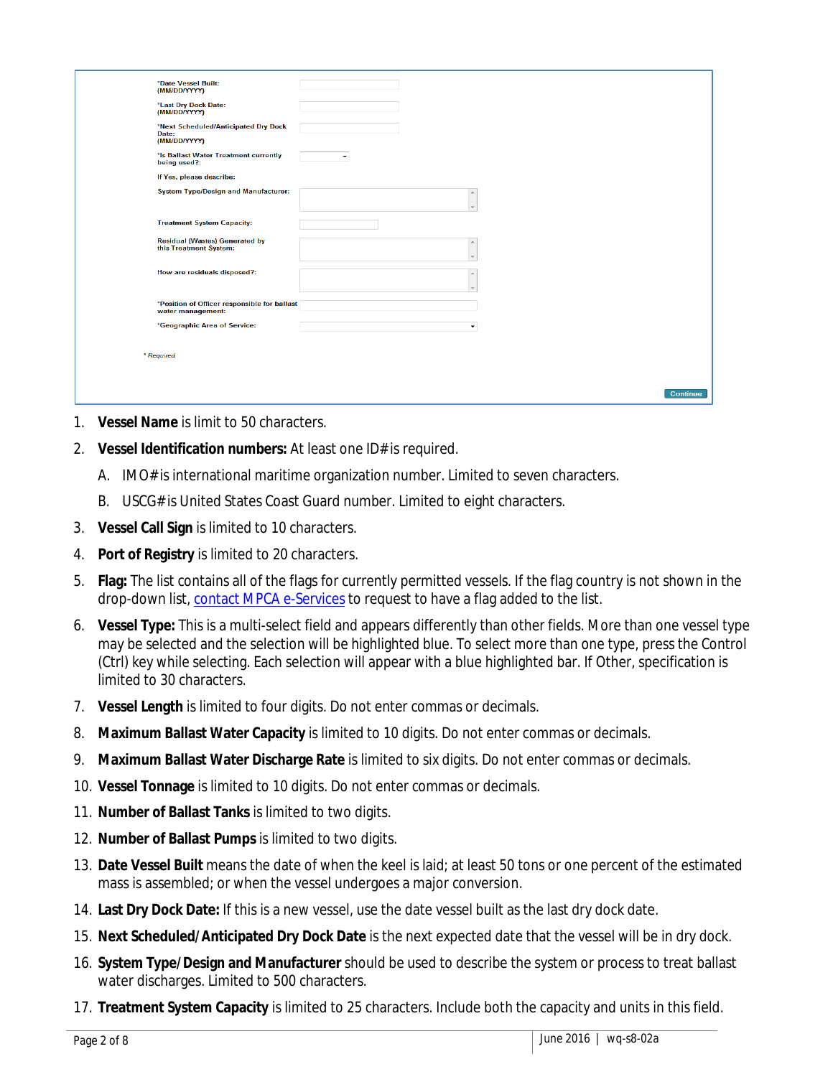| *Date Vessel Built:<br>(MM/DD/YYYY)                               |                          |
|-------------------------------------------------------------------|--------------------------|
| *Last Dry Dock Date:<br>(MM/DD/YYYY)                              |                          |
| *Next Scheduled/Anticipated Dry Dock<br>Date:<br>(MM/DD/YYYY)     |                          |
| *Is Ballast Water Treatment currently<br>being used?:             |                          |
| If Yes, please describe:                                          |                          |
| <b>System Type/Design and Manufacturer:</b>                       |                          |
| <b>Treatment System Capacity:</b>                                 |                          |
| <b>Residual (Wastes) Generated by</b><br>this Treatment System:   | $\overline{\phantom{a}}$ |
| How are residuals disposed?:                                      |                          |
| *Position of Officer responsible for ballast<br>water management: |                          |
| *Geographic Area of Service:                                      |                          |
| * Required                                                        |                          |
|                                                                   |                          |
|                                                                   | <b>Continue</b>          |
|                                                                   |                          |

- 1. **Vessel Name** is limit to 50 characters.
- 2. **Vessel Identification numbers:** At least one ID# is required.
	- A. IMO# is international maritime organization number. Limited to seven characters.
	- B. USCG# is United States Coast Guard number. Limited to eight characters.
- 3. **Vessel Call Sign** is limited to 10 characters.
- 4. **Port of Registry** is limited to 20 characters.
- 5. **Flag:** The list contains all of the flags for currently permitted vessels. If the flag country is not shown in the drop-down list[, contact MPCA e-Services](mailto:onlineservices.pca@state.mn.us) to request to have a flag added to the list.
- 6. **Vessel Type:** This is a multi-select field and appears differently than other fields. More than one vessel type may be selected and the selection will be highlighted blue. To select more than one type, press the Control (Ctrl) key while selecting. Each selection will appear with a blue highlighted bar. If Other, specification is limited to 30 characters.
- 7. **Vessel Length** is limited to four digits. Do not enter commas or decimals.
- 8. **Maximum Ballast Water Capacity** is limited to 10 digits. Do not enter commas or decimals.
- 9. **Maximum Ballast Water Discharge Rate** is limited to six digits. Do not enter commas or decimals.
- 10. **Vessel Tonnage** is limited to 10 digits. Do not enter commas or decimals.
- 11. **Number of Ballast Tanks** is limited to two digits.
- 12. **Number of Ballast Pumps** is limited to two digits.
- 13. **Date Vessel Built** means the date of when the keel is laid; at least 50 tons or one percent of the estimated mass is assembled; or when the vessel undergoes a major conversion.
- 14. **Last Dry Dock Date:** If this is a new vessel, use the date vessel built as the last dry dock date.
- 15. **Next Scheduled/Anticipated Dry Dock Date** is the next expected date that the vessel will be in dry dock.
- 16. **System Type/Design and Manufacturer** should be used to describe the system or process to treat ballast water discharges. Limited to 500 characters.
- 17. **Treatment System Capacity** is limited to 25 characters. Include both the capacity and units in this field.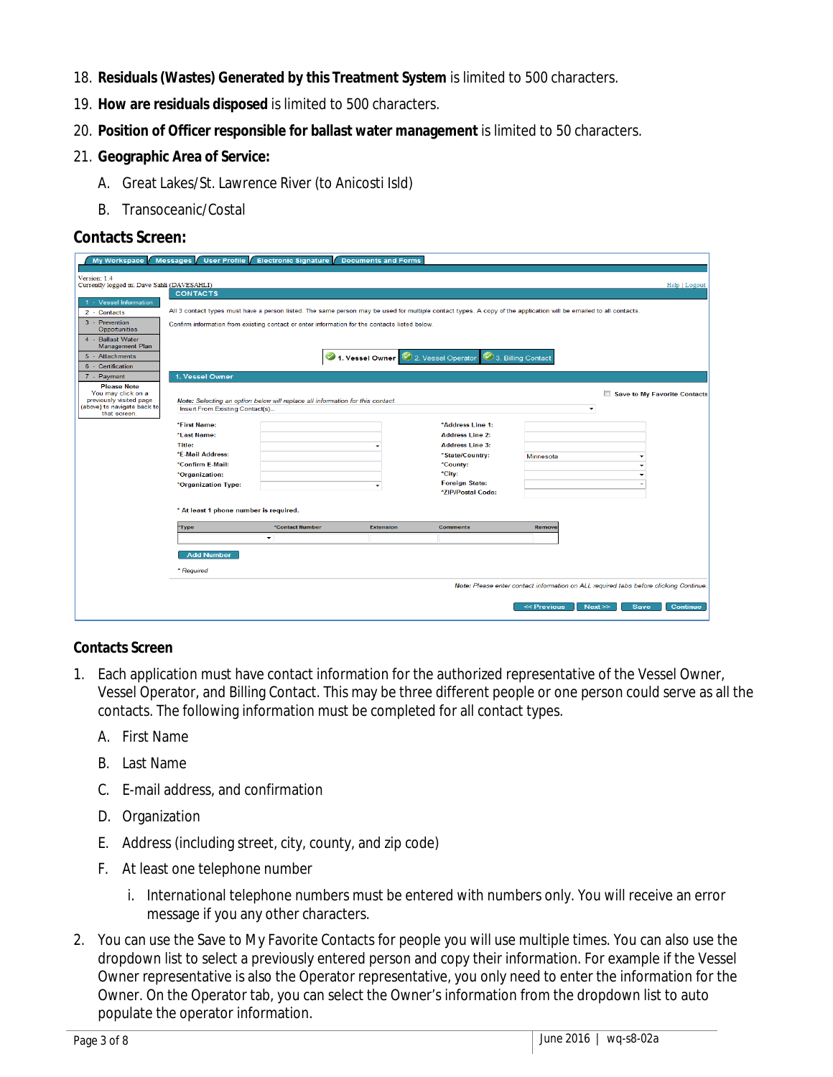- 18. **Residuals (Wastes) Generated by this Treatment System** is limited to 500 characters.
- 19. **How are residuals disposed** is limited to 500 characters.
- 20. **Position of Officer responsible for ballast water management** is limited to 50 characters.
- 21. **Geographic Area of Service:** 
	- A. Great Lakes/St. Lawrence River (to Anicosti Isld)
	- B. Transoceanic/Costal

#### **Contacts Screen:**

| My Workspace                                                | <b>Messages</b><br><b>User Profile</b>                                                                                                                            | <b>Electronic Signature</b>                                                                   | <b>Documents and Forms</b> |                                        |                    |                                                                                       |  |  |  |  |
|-------------------------------------------------------------|-------------------------------------------------------------------------------------------------------------------------------------------------------------------|-----------------------------------------------------------------------------------------------|----------------------------|----------------------------------------|--------------------|---------------------------------------------------------------------------------------|--|--|--|--|
|                                                             |                                                                                                                                                                   |                                                                                               |                            |                                        |                    |                                                                                       |  |  |  |  |
| Version: 1.4<br>Currently logged in: Dave Sahli (DAVESAHLI) |                                                                                                                                                                   |                                                                                               |                            |                                        |                    | Help   Logout                                                                         |  |  |  |  |
|                                                             | <b>CONTACTS</b>                                                                                                                                                   |                                                                                               |                            |                                        |                    |                                                                                       |  |  |  |  |
| - Vessel Information                                        |                                                                                                                                                                   |                                                                                               |                            |                                        |                    |                                                                                       |  |  |  |  |
| 2 - Contacts                                                | All 3 contact types must have a person listed. The same person may be used for multiple contact types. A copy of the application will be emailed to all contacts. |                                                                                               |                            |                                        |                    |                                                                                       |  |  |  |  |
| 3 - Prevention<br>Opportunities                             |                                                                                                                                                                   | Confirm information from existing contact or enter information for the contacts listed below. |                            |                                        |                    |                                                                                       |  |  |  |  |
| 4 - Ballast Water                                           |                                                                                                                                                                   |                                                                                               |                            |                                        |                    |                                                                                       |  |  |  |  |
| <b>Management Plan</b><br>5 - Attachments                   |                                                                                                                                                                   |                                                                                               |                            |                                        |                    |                                                                                       |  |  |  |  |
| 6 - Certification                                           |                                                                                                                                                                   |                                                                                               |                            | 4 1. Vessel Owner 2 2. Vessel Operator | 3. Billing Contact |                                                                                       |  |  |  |  |
| 7 - Payment                                                 | 1. Vessel Owner                                                                                                                                                   |                                                                                               |                            |                                        |                    |                                                                                       |  |  |  |  |
| <b>Please Note</b>                                          |                                                                                                                                                                   |                                                                                               |                            |                                        |                    |                                                                                       |  |  |  |  |
| You may click on a                                          |                                                                                                                                                                   |                                                                                               |                            |                                        |                    | Save to My Favorite Contacts                                                          |  |  |  |  |
| previously visited page<br>(above) to navigate back to      |                                                                                                                                                                   | Note: Selecting an option below will replace all information for this contact.                |                            |                                        |                    |                                                                                       |  |  |  |  |
| that screen.                                                | Insert From Existing Contact(s)                                                                                                                                   |                                                                                               |                            |                                        |                    | $\overline{\phantom{a}}$                                                              |  |  |  |  |
|                                                             | *First Name:                                                                                                                                                      |                                                                                               |                            | *Address Line 1:                       |                    |                                                                                       |  |  |  |  |
|                                                             | *Last Name:                                                                                                                                                       |                                                                                               |                            | <b>Address Line 2:</b>                 |                    |                                                                                       |  |  |  |  |
|                                                             | Title:                                                                                                                                                            |                                                                                               |                            | <b>Address Line 3:</b>                 |                    |                                                                                       |  |  |  |  |
|                                                             | *E-Mail Address:                                                                                                                                                  |                                                                                               |                            | *State/Country:                        | Minnesota          |                                                                                       |  |  |  |  |
|                                                             | *Confirm E-Mail:                                                                                                                                                  |                                                                                               |                            | "County:                               |                    |                                                                                       |  |  |  |  |
|                                                             | *Organization:                                                                                                                                                    |                                                                                               |                            | *City:                                 |                    |                                                                                       |  |  |  |  |
|                                                             | *Organization Type:                                                                                                                                               |                                                                                               | ٠                          | <b>Foreign State:</b>                  |                    |                                                                                       |  |  |  |  |
|                                                             |                                                                                                                                                                   |                                                                                               |                            | *ZIP/Postal Code:                      |                    |                                                                                       |  |  |  |  |
|                                                             | * At least 1 phone number is required.                                                                                                                            |                                                                                               |                            |                                        |                    |                                                                                       |  |  |  |  |
|                                                             |                                                                                                                                                                   |                                                                                               |                            |                                        |                    |                                                                                       |  |  |  |  |
|                                                             | *Type                                                                                                                                                             | *Contact Number                                                                               | <b>Extension</b>           | <b>Comments</b>                        | Remove             |                                                                                       |  |  |  |  |
|                                                             |                                                                                                                                                                   | $\cdot$                                                                                       |                            |                                        |                    |                                                                                       |  |  |  |  |
|                                                             | <b>Add Number</b>                                                                                                                                                 |                                                                                               |                            |                                        |                    |                                                                                       |  |  |  |  |
|                                                             | * Required                                                                                                                                                        |                                                                                               |                            |                                        |                    |                                                                                       |  |  |  |  |
|                                                             |                                                                                                                                                                   |                                                                                               |                            |                                        |                    | Note: Please enter contact information on ALL required tabs before clicking Continue. |  |  |  |  |
|                                                             |                                                                                                                                                                   |                                                                                               |                            |                                        | << Previous        | Next<br><b>Save</b><br><b>Continue</b>                                                |  |  |  |  |

#### **Contacts Screen**

- 1. Each application must have contact information for the authorized representative of the Vessel Owner, Vessel Operator, and Billing Contact. This may be three different people or one person could serve as all the contacts. The following information must be completed for all contact types.
	- A. First Name
	- B. Last Name
	- C. E-mail address, and confirmation
	- D. Organization
	- E. Address (including street, city, county, and zip code)
	- F. At least one telephone number
		- i. International telephone numbers must be entered with numbers only. You will receive an error message if you any other characters.
- 2. You can use the Save to My Favorite Contacts for people you will use multiple times. You can also use the dropdown list to select a previously entered person and copy their information. For example if the Vessel Owner representative is also the Operator representative, you only need to enter the information for the Owner. On the Operator tab, you can select the Owner's information from the dropdown list to auto populate the operator information.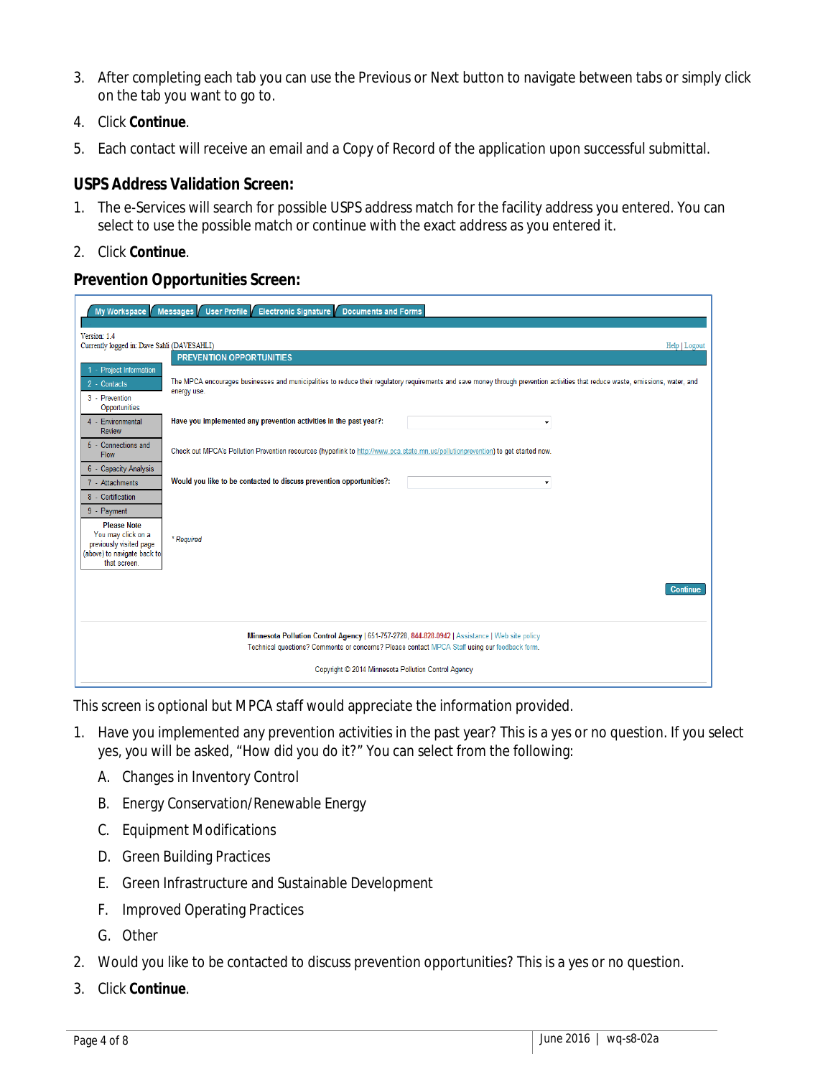- 3. After completing each tab you can use the Previous or Next button to navigate between tabs or simply click on the tab you want to go to.
- 4. Click **Continue**.
- 5. Each contact will receive an email and a Copy of Record of the application upon successful submittal.

#### **USPS Address Validation Screen:**

- 1. The e-Services will search for possible USPS address match for the facility address you entered. You can select to use the possible match or continue with the exact address as you entered it.
- 2. Click **Continue**.

#### **Prevention Opportunities Screen:**

| My Workspace                                                | <b>Electronic Signature</b><br>Messages<br>User Profile<br><b>Documents and Forms</b>                                                                                           |
|-------------------------------------------------------------|---------------------------------------------------------------------------------------------------------------------------------------------------------------------------------|
|                                                             |                                                                                                                                                                                 |
| Version: 1.4<br>Currently logged in: Dave Sahli (DAVESAHLI) | Help   Logout                                                                                                                                                                   |
|                                                             | <b>PREVENTION OPPORTUNITIES</b>                                                                                                                                                 |
| 1 - Project Information                                     |                                                                                                                                                                                 |
| 2 - Contacts                                                | The MPCA encourages businesses and municipalities to reduce their regulatory requirements and save money through prevention activities that reduce waste, emissions, water, and |
| 3 - Prevention                                              | energy use.                                                                                                                                                                     |
| Opportunities                                               |                                                                                                                                                                                 |
| 4 - Environmental                                           | Have you implemented any prevention activities in the past year?:<br>$\overline{\phantom{a}}$                                                                                   |
| Review                                                      |                                                                                                                                                                                 |
| 5 - Connections and                                         |                                                                                                                                                                                 |
| Flow                                                        | Check out MPCA's Pollution Prevention resources (hyperlink to http://www.pca.state.mn.us/pollutionprevention) to get started now.                                               |
| 6 - Capacity Analysis                                       |                                                                                                                                                                                 |
| 7 - Attachments                                             | Would you like to be contacted to discuss prevention opportunities?:<br>$\overline{\phantom{a}}$                                                                                |
| 8 - Certification                                           |                                                                                                                                                                                 |
| 9 - Payment                                                 |                                                                                                                                                                                 |
| <b>Please Note</b>                                          |                                                                                                                                                                                 |
| You may click on a                                          |                                                                                                                                                                                 |
| previously visited page                                     | * Required                                                                                                                                                                      |
| (above) to navigate back to<br>that screen.                 |                                                                                                                                                                                 |
|                                                             |                                                                                                                                                                                 |
|                                                             |                                                                                                                                                                                 |
|                                                             | <b>Continue</b>                                                                                                                                                                 |
|                                                             |                                                                                                                                                                                 |
|                                                             |                                                                                                                                                                                 |
|                                                             | Minnesota Pollution Control Agency   651-757-2728, 844-828-0942   Assistance   Web site policy                                                                                  |
|                                                             | Technical questions? Comments or concerns? Please contact MPCA Staff using our feedback form.                                                                                   |
|                                                             |                                                                                                                                                                                 |
|                                                             | Copyright © 2014 Minnesota Pollution Control Agency                                                                                                                             |
|                                                             |                                                                                                                                                                                 |

This screen is optional but MPCA staff would appreciate the information provided.

- 1. Have you implemented any prevention activities in the past year? This is a yes or no question. If you select yes, you will be asked, "How did you do it?" You can select from the following:
	- A. Changes in Inventory Control
	- B. Energy Conservation/Renewable Energy
	- C. Equipment Modifications
	- D. Green Building Practices
	- E. Green Infrastructure and Sustainable Development
	- F. Improved Operating Practices
	- G. Other
- 2. Would you like to be contacted to discuss prevention opportunities? This is a yes or no question.
- 3. Click **Continue**.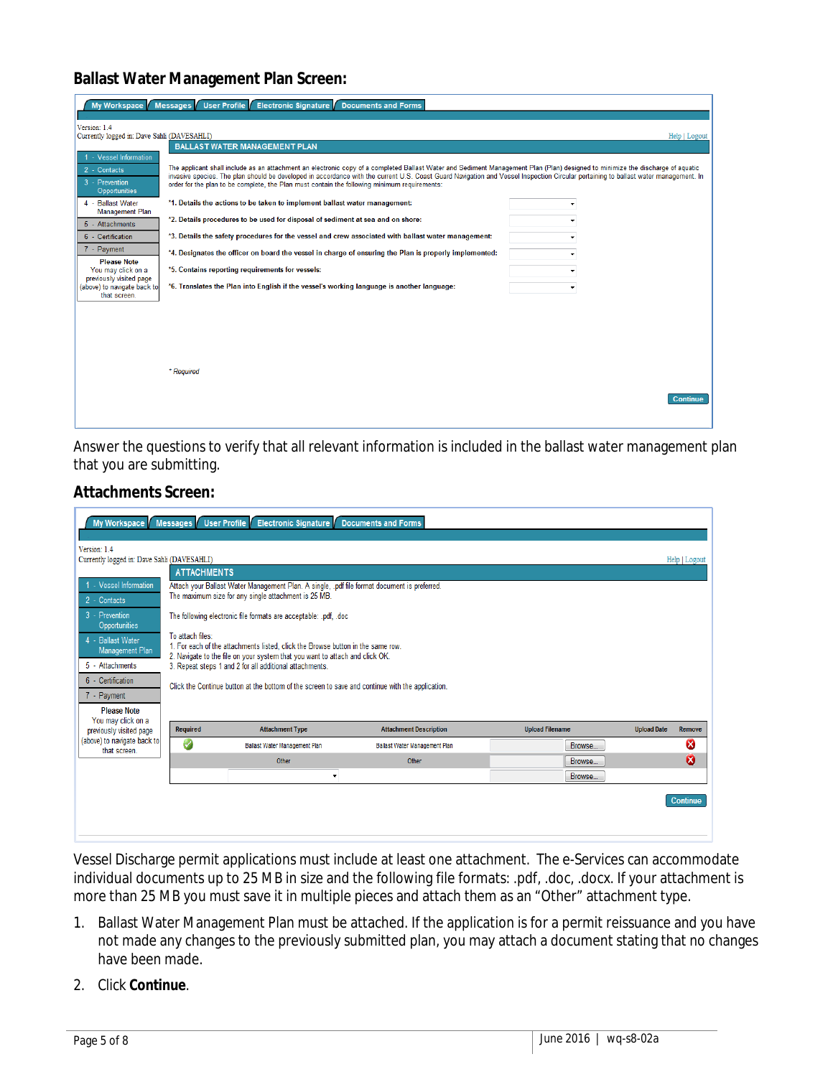#### **Ballast Water Management Plan Screen:**

| My Workspace                                                                                                                                                                                                                       | Electronic Signature Documents and Forms<br><b>Messages</b><br><b>User Profile</b>                                                                                                                                                                                                                                                                                                                                                                                                                                                                                                                                                                                                                                                                                                                                                                                                                                                                                                   |
|------------------------------------------------------------------------------------------------------------------------------------------------------------------------------------------------------------------------------------|--------------------------------------------------------------------------------------------------------------------------------------------------------------------------------------------------------------------------------------------------------------------------------------------------------------------------------------------------------------------------------------------------------------------------------------------------------------------------------------------------------------------------------------------------------------------------------------------------------------------------------------------------------------------------------------------------------------------------------------------------------------------------------------------------------------------------------------------------------------------------------------------------------------------------------------------------------------------------------------|
| Version: 1.4<br>Currently logged in: Dave Sahli (DAVESAHLI)                                                                                                                                                                        | Help   Logout                                                                                                                                                                                                                                                                                                                                                                                                                                                                                                                                                                                                                                                                                                                                                                                                                                                                                                                                                                        |
| 1 - Vessel Information<br>2 - Contacts<br>3 - Prevention<br><b>Opportunities</b><br>4 - Ballast Water<br><b>Management Plan</b><br>5 - Attachments<br>6 - Certification<br>7 - Payment<br><b>Please Note</b><br>You may click on a | <b>BALLAST WATER MANAGEMENT PLAN</b><br>The applicant shall include as an attachment an electronic copy of a completed Ballast Water and Sediment Management Plan (Plan) designed to minimize the discharge of aquatic<br>invasive species. The plan should be developed in accordance with the current U.S. Coast Guard Navigation and Vessel Inspection Circular pertaining to ballast water management. In<br>order for the plan to be complete, the Plan must contain the following minimum requirements:<br>*1. Details the actions to be taken to implement ballast water management:<br>$\overline{\phantom{a}}$<br>*2. Details procedures to be used for disposal of sediment at sea and on shore:<br>*3. Details the safety procedures for the vessel and crew associated with ballast water management:<br>*4. Designates the officer on board the vessel in charge of ensuring the Plan is properly implemented:<br>*5. Contains reporting requirements for vessels:<br>÷ |
| previously visited page<br>(above) to navigate back to<br>that screen.                                                                                                                                                             | *6. Translates the Plan into English if the vessel's working language is another language:<br>۰<br>* Required<br><b>Continue</b>                                                                                                                                                                                                                                                                                                                                                                                                                                                                                                                                                                                                                                                                                                                                                                                                                                                     |

Answer the questions to verify that all relevant information is included in the ballast water management plan that you are submitting.

#### **Attachments Screen:**

|                                                        |                    | My Workspace Messages   User Profile   Electronic Signature   Documents and Forms                                                                               |                               |                        |                              |  |  |  |  |  |
|--------------------------------------------------------|--------------------|-----------------------------------------------------------------------------------------------------------------------------------------------------------------|-------------------------------|------------------------|------------------------------|--|--|--|--|--|
| Version: 1.4                                           |                    |                                                                                                                                                                 |                               |                        |                              |  |  |  |  |  |
| Currently logged in: Dave Sahli (DAVESAHLI)            |                    |                                                                                                                                                                 |                               |                        | Help   Logout                |  |  |  |  |  |
|                                                        | <b>ATTACHMENTS</b> |                                                                                                                                                                 |                               |                        |                              |  |  |  |  |  |
| 1 - Vessel Information<br>2 - Contacts                 |                    | Attach your Ballast Water Management Plan. A single, .pdf file format document is preferred.<br>The maximum size for any single attachment is 25 MB.            |                               |                        |                              |  |  |  |  |  |
| 3 - Prevention<br><b>Opportunities</b>                 |                    | The following electronic file formats are acceptable: .pdf, .doc                                                                                                |                               |                        |                              |  |  |  |  |  |
| 4 - Ballast Water<br><b>Management Plan</b>            | To attach files:   | 1. For each of the attachments listed, click the Browse button in the same row.<br>2. Navigate to the file on your system that you want to attach and click OK. |                               |                        |                              |  |  |  |  |  |
| 5 - Attachments                                        |                    | 3. Repeat steps 1 and 2 for all additional attachments.                                                                                                         |                               |                        |                              |  |  |  |  |  |
| 6 - Certification<br>7 - Payment<br><b>Please Note</b> |                    | Click the Continue button at the bottom of the screen to save and continue with the application.                                                                |                               |                        |                              |  |  |  |  |  |
| You may click on a                                     | Required           | <b>Attachment Type</b>                                                                                                                                          | <b>Attachment Description</b> | <b>Upload Filename</b> | <b>Upload Date</b><br>Remove |  |  |  |  |  |
| previously visited page<br>(above) to navigate back to |                    |                                                                                                                                                                 |                               |                        |                              |  |  |  |  |  |
| that screen.                                           | a                  | Ballast Water Management Plan                                                                                                                                   | Ballast Water Management Plan | Browse                 | Ø                            |  |  |  |  |  |
|                                                        |                    | Other                                                                                                                                                           | Other                         | Browse.                | ೞ                            |  |  |  |  |  |
| Browse<br>$\blacktriangledown$                         |                    |                                                                                                                                                                 |                               |                        |                              |  |  |  |  |  |
|                                                        |                    |                                                                                                                                                                 |                               |                        | <b>Continue</b>              |  |  |  |  |  |

Vessel Discharge permit applications must include at least one attachment. The e-Services can accommodate individual documents up to 25 MB in size and the following file formats: .pdf, .doc, .docx. If your attachment is more than 25 MB you must save it in multiple pieces and attach them as an "Other" attachment type.

- 1. Ballast Water Management Plan must be attached. If the application is for a permit reissuance and you have not made any changes to the previously submitted plan, you may attach a document stating that no changes have been made.
- 2. Click **Continue**.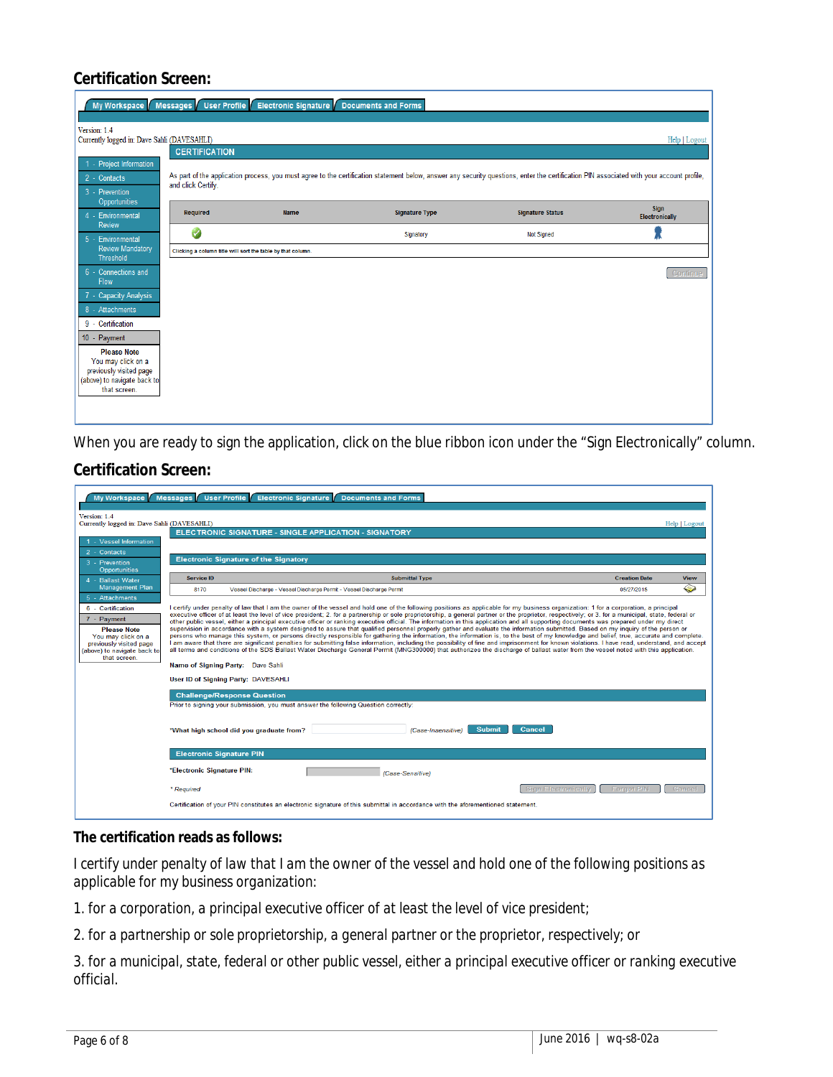## **Certification Screen:**

|                                                                            |                      | My Workspace   Messages   User Profile   Electronic Signature   Documents and Forms |                                                                                                                                                                                           |                         |                                      |  |  |  |  |
|----------------------------------------------------------------------------|----------------------|-------------------------------------------------------------------------------------|-------------------------------------------------------------------------------------------------------------------------------------------------------------------------------------------|-------------------------|--------------------------------------|--|--|--|--|
| Version: 1.4<br>Currently logged in: Dave Sahli (DAVESAHLI)                |                      |                                                                                     |                                                                                                                                                                                           |                         | Help   Logout                        |  |  |  |  |
|                                                                            | <b>CERTIFICATION</b> |                                                                                     |                                                                                                                                                                                           |                         |                                      |  |  |  |  |
| 1 - Project Information<br>2 - Contacts<br>3 - Prevention<br>Opportunities | and click Certify.   |                                                                                     | As part of the application process, you must agree to the certification statement below, answer any security questions, enter the certification PIN associated with your account profile, |                         |                                      |  |  |  |  |
| 4 - Environmental                                                          | <b>Required</b>      | <b>Name</b>                                                                         | <b>Signature Type</b>                                                                                                                                                                     | <b>Signature Status</b> | <b>Sign</b><br><b>Electronically</b> |  |  |  |  |
| Review<br>5 - Environmental                                                | Ø                    |                                                                                     | Signatory                                                                                                                                                                                 | <b>Not Signed</b>       |                                      |  |  |  |  |
| <b>Review Mandatory</b><br><b>Threshold</b>                                |                      | Clicking a column title will sort the table by that column.                         |                                                                                                                                                                                           |                         |                                      |  |  |  |  |
| 6 - Connections and<br>Flow                                                |                      |                                                                                     |                                                                                                                                                                                           |                         | Continue                             |  |  |  |  |
| 7 - Capacity Analysis                                                      |                      |                                                                                     |                                                                                                                                                                                           |                         |                                      |  |  |  |  |
| 8 - Attachments                                                            |                      |                                                                                     |                                                                                                                                                                                           |                         |                                      |  |  |  |  |
| 9 - Certification                                                          |                      |                                                                                     |                                                                                                                                                                                           |                         |                                      |  |  |  |  |
| 10 - Payment                                                               |                      |                                                                                     |                                                                                                                                                                                           |                         |                                      |  |  |  |  |
| <b>Please Note</b><br>You may click on a                                   |                      |                                                                                     |                                                                                                                                                                                           |                         |                                      |  |  |  |  |
| previously visited page                                                    |                      |                                                                                     |                                                                                                                                                                                           |                         |                                      |  |  |  |  |
| (above) to navigate back to                                                |                      |                                                                                     |                                                                                                                                                                                           |                         |                                      |  |  |  |  |
| that screen.                                                               |                      |                                                                                     |                                                                                                                                                                                           |                         |                                      |  |  |  |  |
|                                                                            |                      |                                                                                     |                                                                                                                                                                                           |                         |                                      |  |  |  |  |
|                                                                            |                      |                                                                                     |                                                                                                                                                                                           |                         |                                      |  |  |  |  |

When you are ready to sign the application, click on the blue ribbon icon under the "Sign Electronically" column.

## **Certification Screen:**

| My Workspace                                                                                                                                           | <b>Messages</b><br><b>User Profile</b>                                                                                                                                                                                                                                                                                                                                                                                                                                                                                                                                                                                                                                                                                                                                                                                                                                                                                                                                                                                                                                                                                                                                                                                                                                                                                                                                                                                                    | <b>Electronic Signature</b><br><b>Documents and Forms</b>                                                                            |                      |               |  |  |  |
|--------------------------------------------------------------------------------------------------------------------------------------------------------|-------------------------------------------------------------------------------------------------------------------------------------------------------------------------------------------------------------------------------------------------------------------------------------------------------------------------------------------------------------------------------------------------------------------------------------------------------------------------------------------------------------------------------------------------------------------------------------------------------------------------------------------------------------------------------------------------------------------------------------------------------------------------------------------------------------------------------------------------------------------------------------------------------------------------------------------------------------------------------------------------------------------------------------------------------------------------------------------------------------------------------------------------------------------------------------------------------------------------------------------------------------------------------------------------------------------------------------------------------------------------------------------------------------------------------------------|--------------------------------------------------------------------------------------------------------------------------------------|----------------------|---------------|--|--|--|
| Version: 1.4<br>Currently logged in: Dave Sahli (DAVESAHLI)                                                                                            |                                                                                                                                                                                                                                                                                                                                                                                                                                                                                                                                                                                                                                                                                                                                                                                                                                                                                                                                                                                                                                                                                                                                                                                                                                                                                                                                                                                                                                           |                                                                                                                                      |                      | Help   Logout |  |  |  |
| 1 - Vessel Information<br>2 - Contacts                                                                                                                 |                                                                                                                                                                                                                                                                                                                                                                                                                                                                                                                                                                                                                                                                                                                                                                                                                                                                                                                                                                                                                                                                                                                                                                                                                                                                                                                                                                                                                                           | ELECTRONIC SIGNATURE - SINGLE APPLICATION - SIGNATORY                                                                                |                      |               |  |  |  |
| 3 - Prevention                                                                                                                                         | <b>Electronic Signature of the Signatory</b>                                                                                                                                                                                                                                                                                                                                                                                                                                                                                                                                                                                                                                                                                                                                                                                                                                                                                                                                                                                                                                                                                                                                                                                                                                                                                                                                                                                              |                                                                                                                                      |                      |               |  |  |  |
| Opportunities<br>4 - Ballast Water                                                                                                                     | Service ID                                                                                                                                                                                                                                                                                                                                                                                                                                                                                                                                                                                                                                                                                                                                                                                                                                                                                                                                                                                                                                                                                                                                                                                                                                                                                                                                                                                                                                | <b>Submittal Type</b>                                                                                                                | <b>Creation Date</b> | <b>View</b>   |  |  |  |
| <b>Management Plan</b><br>5 - Attachments                                                                                                              | 8170                                                                                                                                                                                                                                                                                                                                                                                                                                                                                                                                                                                                                                                                                                                                                                                                                                                                                                                                                                                                                                                                                                                                                                                                                                                                                                                                                                                                                                      | Vessel Discharge - Vessel Discharge Permit - Vessel Discharge Permit                                                                 | 05/27/2015           | ❤             |  |  |  |
| 6 - Certification<br>7 - Payment<br><b>Please Note</b><br>You may click on a<br>previously visited page<br>(above) to navigate back to<br>that screen. | I certify under penalty of law that I am the owner of the vessel and hold one of the following positions as applicable for my business organization: 1 for a corporation, a principal<br>executive officer of at least the level of vice president; 2. for a partnership or sole proprietorship, a general partner or the proprietor, respectively; or 3. for a municipal, state, federal or<br>other public vessel, either a principal executive officer or ranking executive official. The information in this application and all supporting documents was prepared under my direct<br>supervision in accordance with a system designed to assure that qualified personnel properly gather and evaluate the information submitted. Based on my inquiry of the person or<br>persons who manage this system, or persons directly responsible for gathering the information, the information is, to the best of my knowledge and belief, true, accurate and complete.<br>I am aware that there are significant penalties for submitting false information, including the possibility of fine and imprisonment for known violations. I have read, understand, and accept<br>all terms and conditions of the SDS Ballast Water Discharge General Permit (MNG300000) that authorizes the discharge of ballast water from the vessel noted with this application.<br>Name of Signing Party: Dave Sahli<br>User ID of Signing Party: DAVESAHLI |                                                                                                                                      |                      |               |  |  |  |
|                                                                                                                                                        | <b>Challenge/Response Question</b>                                                                                                                                                                                                                                                                                                                                                                                                                                                                                                                                                                                                                                                                                                                                                                                                                                                                                                                                                                                                                                                                                                                                                                                                                                                                                                                                                                                                        |                                                                                                                                      |                      |               |  |  |  |
|                                                                                                                                                        | "What high school did you graduate from?                                                                                                                                                                                                                                                                                                                                                                                                                                                                                                                                                                                                                                                                                                                                                                                                                                                                                                                                                                                                                                                                                                                                                                                                                                                                                                                                                                                                  | Prior to signing your submission, you must answer the following Question correctly:<br><b>Submit</b><br>Cancel<br>(Case-Insensitive) |                      |               |  |  |  |
|                                                                                                                                                        | <b>Electronic Signature PIN</b>                                                                                                                                                                                                                                                                                                                                                                                                                                                                                                                                                                                                                                                                                                                                                                                                                                                                                                                                                                                                                                                                                                                                                                                                                                                                                                                                                                                                           |                                                                                                                                      |                      |               |  |  |  |
|                                                                                                                                                        | *Electronic Signature PIN:                                                                                                                                                                                                                                                                                                                                                                                                                                                                                                                                                                                                                                                                                                                                                                                                                                                                                                                                                                                                                                                                                                                                                                                                                                                                                                                                                                                                                | (Case-Sensitive)                                                                                                                     |                      |               |  |  |  |
|                                                                                                                                                        | * Required                                                                                                                                                                                                                                                                                                                                                                                                                                                                                                                                                                                                                                                                                                                                                                                                                                                                                                                                                                                                                                                                                                                                                                                                                                                                                                                                                                                                                                | <b>Sign Electronically</b>                                                                                                           | <b>Forgot PIN</b>    | Cancel        |  |  |  |
|                                                                                                                                                        |                                                                                                                                                                                                                                                                                                                                                                                                                                                                                                                                                                                                                                                                                                                                                                                                                                                                                                                                                                                                                                                                                                                                                                                                                                                                                                                                                                                                                                           | Certification of your PIN constitutes an electronic signature of this submittal in accordance with the aforementioned statement.     |                      |               |  |  |  |

#### **The certification reads as follows:**

*I certify under penalty of law that I am the owner of the vessel and hold one of the following positions as applicable for my business organization:* 

*1. for a corporation, a principal executive officer of at least the level of vice president;* 

*2. for a partnership or sole proprietorship, a general partner or the proprietor, respectively; or* 

*3. for a municipal, state, federal or other public vessel, either a principal executive officer or ranking executive official.*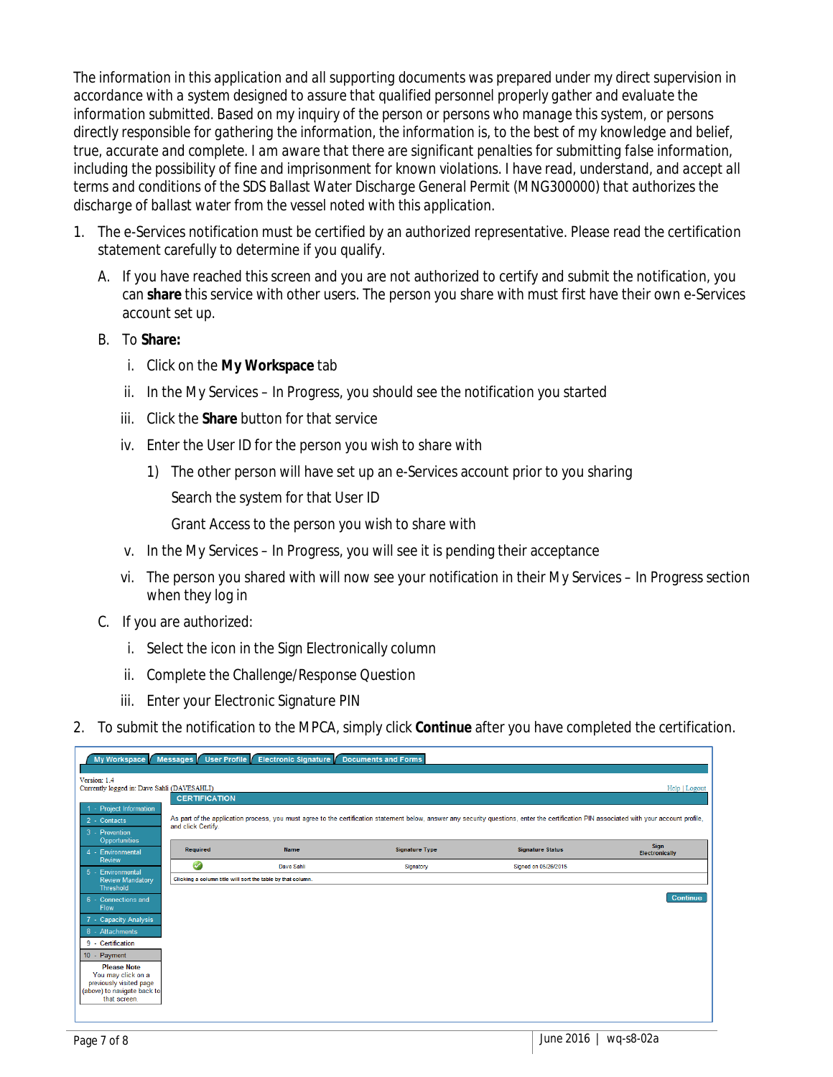*The information in this application and all supporting documents was prepared under my direct supervision in accordance with a system designed to assure that qualified personnel properly gather and evaluate the information submitted. Based on my inquiry of the person or persons who manage this system, or persons directly responsible for gathering the information, the information is, to the best of my knowledge and belief, true, accurate and complete. I am aware that there are significant penalties for submitting false information,*  including the possibility of fine and imprisonment for known violations. I have read, understand, and accept all *terms and conditions of the SDS Ballast Water Discharge General Permit (MNG300000) that authorizes the discharge of ballast water from the vessel noted with this application.*

- 1. The e-Services notification must be certified by an authorized representative. Please read the certification statement carefully to determine if you qualify.
	- A. If you have reached this screen and you are not authorized to certify and submit the notification, you can **share** this service with other users. The person you share with must first have their own e-Services account set up.
	- B. To **Share:**
		- i. Click on the **My Workspace** tab
		- ii. In the My Services In Progress, you should see the notification you started
		- iii. Click the **Share** button for that service
		- iv. Enter the User ID for the person you wish to share with
			- 1) The other person will have set up an e-Services account prior to you sharing

Search the system for that User ID

Grant Access to the person you wish to share with

- v. In the My Services In Progress, you will see it is pending their acceptance
- vi. The person you shared with will now see your notification in their My Services In Progress section when they log in
- C. If you are authorized:
	- i. Select the icon in the Sign Electronically column
	- ii. Complete the Challenge/Response Question
	- iii. Enter your Electronic Signature PIN
- 2. To submit the notification to the MPCA, simply click **Continue** after you have completed the certification.

|                                                                                   |                      | My Workspace   Messages   User Profile   Electronic Signature   Documents and Forms |                       |                                                                                                                                                                                           |                                      |
|-----------------------------------------------------------------------------------|----------------------|-------------------------------------------------------------------------------------|-----------------------|-------------------------------------------------------------------------------------------------------------------------------------------------------------------------------------------|--------------------------------------|
| Version: 1.4<br>Currently logged in: Dave Sahli (DAVESAHLI)                       |                      |                                                                                     |                       |                                                                                                                                                                                           | Help   Logout                        |
|                                                                                   | <b>CERTIFICATION</b> |                                                                                     |                       |                                                                                                                                                                                           |                                      |
| 1 - Project Information<br>2 - Contacts<br>3 - Prevention<br><b>Opportunities</b> | and click Certify.   |                                                                                     |                       | As part of the application process, you must agree to the certification statement below, answer any security questions, enter the certification PIN associated with your account profile, |                                      |
| 4 - Environmental                                                                 | Required             | <b>Name</b>                                                                         | <b>Signature Type</b> | <b>Signature Status</b>                                                                                                                                                                   | <b>Sign</b><br><b>Electronically</b> |
| Review                                                                            | Ø                    | Dave Sahli                                                                          | Signatory             | Signed on 05/26/2015                                                                                                                                                                      |                                      |
| 5 - Environmental<br><b>Review Mandatory</b><br><b>Threshold</b>                  |                      | Clicking a column title will sort the table by that column.                         |                       |                                                                                                                                                                                           |                                      |
| 6 - Connections and<br>Flow                                                       |                      |                                                                                     |                       |                                                                                                                                                                                           | <b>Continue</b>                      |
| 7 - Capacity Analysis                                                             |                      |                                                                                     |                       |                                                                                                                                                                                           |                                      |
| 8 - Attachments                                                                   |                      |                                                                                     |                       |                                                                                                                                                                                           |                                      |
| 9 - Certification                                                                 |                      |                                                                                     |                       |                                                                                                                                                                                           |                                      |
| 10 - Payment                                                                      |                      |                                                                                     |                       |                                                                                                                                                                                           |                                      |
| <b>Please Note</b><br>You may click on a                                          |                      |                                                                                     |                       |                                                                                                                                                                                           |                                      |
| previously visited page                                                           |                      |                                                                                     |                       |                                                                                                                                                                                           |                                      |
| (above) to navigate back to<br>that screen.                                       |                      |                                                                                     |                       |                                                                                                                                                                                           |                                      |
|                                                                                   |                      |                                                                                     |                       |                                                                                                                                                                                           |                                      |